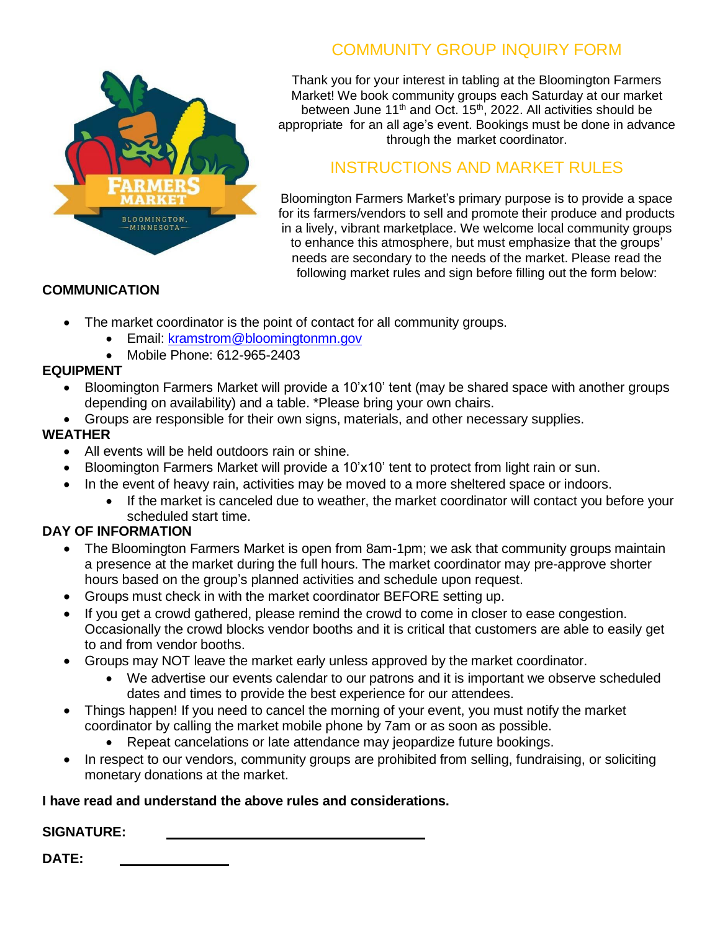

# COMMUNITY GROUP INQUIRY FORM

Thank you for your interest in tabling at the Bloomington Farmers Market! We book community groups each Saturday at our market between June 11<sup>th</sup> and Oct.  $15<sup>th</sup>$ , 2022. All activities should be appropriate for an all age's event. Bookings must be done in advance through the market coordinator.

## INSTRUCTIONS AND MARKET RULES

Bloomington Farmers Market's primary purpose is to provide a space for its farmers/vendors to sell and promote their produce and products in a lively, vibrant marketplace. We welcome local community groups to enhance this atmosphere, but must emphasize that the groups' needs are secondary to the needs of the market. Please read the following market rules and sign before filling out the form below:

## **COMMUNICATION**

- The market coordinator is the point of contact for all community groups.
	- Email: kramstrom@bloomingtonmn.gov
	- Mobile Phone: 612-965-2403

## **EQUIPMENT**

- Bloomington Farmers Market will provide a 10'x10' tent (may be shared space with another groups depending on availability) and a table. \*Please bring your own chairs.
- Groups are responsible for their own signs, materials, and other necessary supplies.

## **WEATHER**

- All events will be held outdoors rain or shine.
- Bloomington Farmers Market will provide a 10'x10' tent to protect from light rain or sun.
- In the event of heavy rain, activities may be moved to a more sheltered space or indoors.
	- If the market is canceled due to weather, the market coordinator will contact you before your scheduled start time.

## **DAY OF INFORMATION**

- The Bloomington Farmers Market is open from 8am-1pm; we ask that community groups maintain a presence at the market during the full hours. The market coordinator may pre-approve shorter hours based on the group's planned activities and schedule upon request.
- Groups must check in with the market coordinator BEFORE setting up.
- If you get a crowd gathered, please remind the crowd to come in closer to ease congestion. Occasionally the crowd blocks vendor booths and it is critical that customers are able to easily get to and from vendor booths.
- Groups may NOT leave the market early unless approved by the market coordinator.
	- We advertise our events calendar to our patrons and it is important we observe scheduled dates and times to provide the best experience for our attendees.
- Things happen! If you need to cancel the morning of your event, you must notify the market coordinator by calling the market mobile phone by 7am or as soon as possible.
	- Repeat cancelations or late attendance may jeopardize future bookings.
- In respect to our vendors, community groups are prohibited from selling, fundraising, or soliciting monetary donations at the market.

## **I have read and understand the above rules and considerations.**

## **SIGNATURE:**

**DATE:**